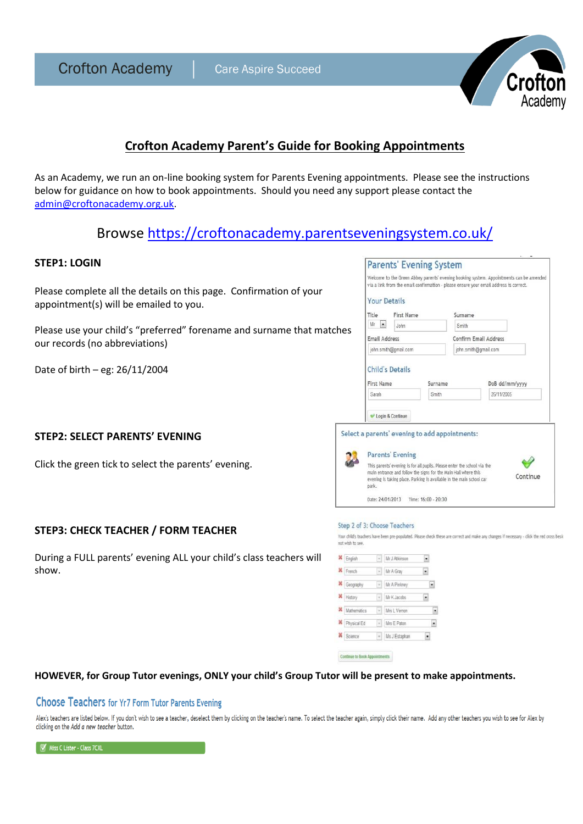**Crofton Academy** 



## **Crofton Academy Parent's Guide for Booking Appointments**

As an Academy, we run an on-line booking system for Parents Evening appointments. Please see the instructions below for guidance on how to book appointments. Should you need any support please contact the [admin@croftonacademy.org.uk.](mailto:admin@croftonacademy.org.uk)

# Browse <https://croftonacademy.parentseveningsystem.co.uk/>

## **STEP1: LOGIN**

Please complete all the details on this page. Confirmation of your appointment(s) will be emailed to you.

Please use your child's "preferred" forename and surname that matches our records (no abbreviations)

Date of birth – eg: 26/11/2004

## **STEP2: SELECT PARENTS' EVENING**

Click the green tick to select the parents' evening.

## **STEP3: CHECK TEACHER / FORM TEACHER**

During a FULL parents' evening ALL your child's class teachers will show.

| via a link from the email confirmation - please ensure your email address is correct. |         |                       | Welcome to the Green Abbey parents' evening booking system. Appointments can be amended |
|---------------------------------------------------------------------------------------|---------|-----------------------|-----------------------------------------------------------------------------------------|
| <b>Your Details</b>                                                                   |         |                       |                                                                                         |
| First Name<br><b>Title</b>                                                            |         | Surname               |                                                                                         |
| Mr<br>۰<br>John                                                                       |         | Smith                 |                                                                                         |
| Email Address                                                                         |         | Confirm Email Address |                                                                                         |
| john.smith@gmail.com                                                                  |         | john.smith@gmail.com  |                                                                                         |
|                                                                                       |         |                       |                                                                                         |
| <b>Child's Details</b><br>First Name                                                  | Surname |                       | DoB dd/mm/vvvv                                                                          |
| Sarah                                                                                 | Smith   |                       | 26/11/2005                                                                              |
| Login & Continue                                                                      |         |                       |                                                                                         |
|                                                                                       |         |                       |                                                                                         |
| ct a parents' evening to add appointments:                                            |         |                       |                                                                                         |
| <b>Parents' Evening</b>                                                               |         |                       |                                                                                         |

#### Sten 2 of 3: Choose Teachers

Date: 24/01/2013 Time: 16:00 - 20:30

Sele

J

Your child's teachers have been pre-populated. Please check these are correct and make any changes if necessary - click the red cross besit not wish to see

| <b>X</b> English     | - Mr. J Atkinson |  |
|----------------------|------------------|--|
| K French             | $-$ Mr A Gray    |  |
| <b>X</b> Geography   | - Mr A Pinkney   |  |
| <b>X</b> History     | - Mr K Jacobs    |  |
| <b>X</b> Mathematics | - Mrs L Vernon   |  |
| Physical Ed          | - Mrs E Paton    |  |
| <b>X</b> Science     | - Ms J Estaphan  |  |

Continue to Book Appointments

#### **HOWEVER, for Group Tutor evenings, ONLY your child's Group Tutor will be present to make appointments.**

#### **Choose Teachers for Yr7 Form Tutor Parents Evening**

Alex's teachers are listed below. If you don't wish to see a teacher, deselect them by clicking on the teacher's name. To select the teacher again, simply click their name. Add any other teachers you wish to see for Alex b clicking on the Add a new teacher button.

Miss C Lister - Class 7CXL